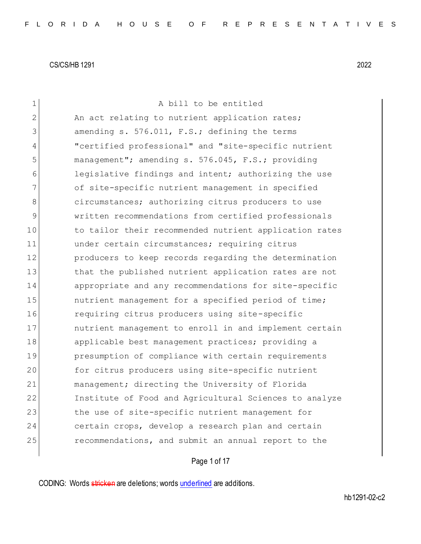| $\mathbf 1$    | A bill to be entitled                                  |
|----------------|--------------------------------------------------------|
| $\overline{2}$ | An act relating to nutrient application rates;         |
| 3              | amending s. 576.011, F.S.; defining the terms          |
| 4              | "certified professional" and "site-specific nutrient   |
| 5              | management"; amending s. 576.045, F.S.; providing      |
| 6              | legislative findings and intent; authorizing the use   |
| 7              | of site-specific nutrient management in specified      |
| 8              | circumstances; authorizing citrus producers to use     |
| 9              | written recommendations from certified professionals   |
| 10             | to tailor their recommended nutrient application rates |
| 11             | under certain circumstances; requiring citrus          |
| 12             | producers to keep records regarding the determination  |
| 13             | that the published nutrient application rates are not  |
| 14             | appropriate and any recommendations for site-specific  |
| 15             | nutrient management for a specified period of time;    |
| 16             | requiring citrus producers using site-specific         |
| 17             | nutrient management to enroll in and implement certain |
| 18             | applicable best management practices; providing a      |
| 19             | presumption of compliance with certain requirements    |
| 20             | for citrus producers using site-specific nutrient      |
| 21             | management; directing the University of Florida        |
| 22             | Institute of Food and Agricultural Sciences to analyze |
| 23             | the use of site-specific nutrient management for       |
| 24             | certain crops, develop a research plan and certain     |
| 25             | recommendations, and submit an annual report to the    |
|                |                                                        |

Page 1 of 17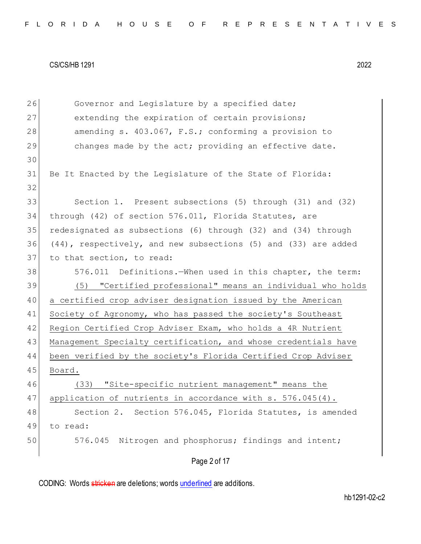| 26 | Governor and Legislature by a specified date;                  |
|----|----------------------------------------------------------------|
| 27 | extending the expiration of certain provisions;                |
| 28 | amending s. 403.067, F.S.; conforming a provision to           |
| 29 | changes made by the act; providing an effective date.          |
| 30 |                                                                |
| 31 | Be It Enacted by the Legislature of the State of Florida:      |
| 32 |                                                                |
| 33 | Section 1. Present subsections (5) through (31) and (32)       |
| 34 | through (42) of section 576.011, Florida Statutes, are         |
| 35 | redesignated as subsections (6) through (32) and (34) through  |
| 36 | (44), respectively, and new subsections (5) and (33) are added |
| 37 | to that section, to read:                                      |
| 38 | 576.011 Definitions. When used in this chapter, the term:      |
| 39 | (5) "Certified professional" means an individual who holds     |
| 40 | a certified crop adviser designation issued by the American    |
| 41 | Society of Agronomy, who has passed the society's Southeast    |
| 42 | Region Certified Crop Adviser Exam, who holds a 4R Nutrient    |
| 43 | Management Specialty certification, and whose credentials have |
| 44 | been verified by the society's Florida Certified Crop Adviser  |
| 45 | Board.                                                         |
| 46 | (33) "Site-specific nutrient management" means the             |
| 47 | application of nutrients in accordance with s. 576.045(4).     |
| 48 | Section 2. Section 576.045, Florida Statutes, is amended       |
| 49 | to read:                                                       |
| 50 | 576.045 Nitrogen and phosphorus; findings and intent;          |
|    | Page 2 of 17                                                   |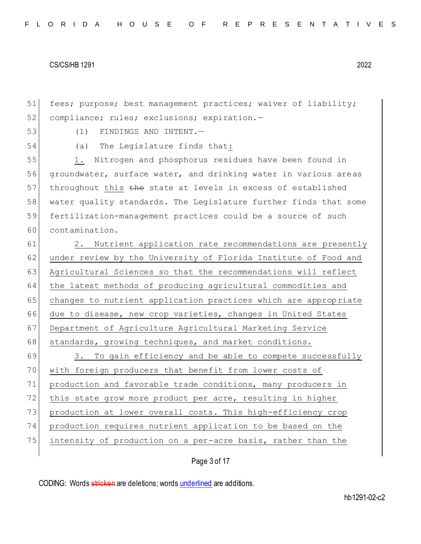51 fees; purpose; best management practices; waiver of liability; 52 compliance; rules; exclusions; expiration.-

53 (1) FINDINGS AND INTENT.

54 (a) The Legislature finds that:

55 1. Nitrogen and phosphorus residues have been found in 56 groundwater, surface water, and drinking water in various areas 57 throughout this the state at levels in excess of established 58 water quality standards. The Legislature further finds that some 59 fertilization-management practices could be a source of such 60 contamination.

61 2. Nutrient application rate recommendations are presently 62 under review by the University of Florida Institute of Food and 63 Agricultural Sciences so that the recommendations will reflect 64 the latest methods of producing agricultural commodities and 65 changes to nutrient application practices which are appropriate 66 due to disease, new crop varieties, changes in United States 67 Department of Agriculture Agricultural Marketing Service 68 | standards, growing techniques, and market conditions.

69 3. To gain efficiency and be able to compete successfully 70 with foreign producers that benefit from lower costs of 71 production and favorable trade conditions, many producers in 72 this state grow more product per acre, resulting in higher 73 production at lower overall costs. This high-efficiency crop 74 production requires nutrient application to be based on the 75 intensity of production on a per-acre basis, rather than the

Page 3 of 17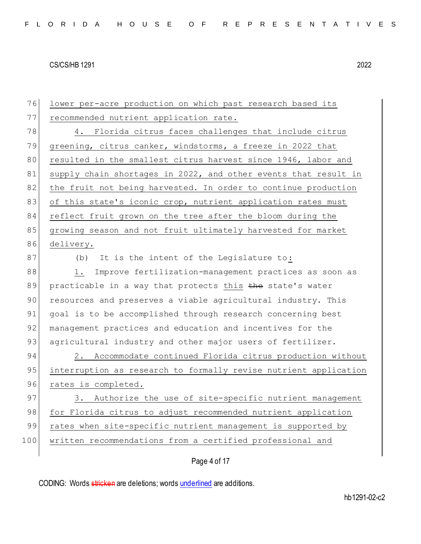| 76  | lower per-acre production on which past research based its       |
|-----|------------------------------------------------------------------|
| 77  | recommended nutrient application rate.                           |
| 78  | Florida citrus faces challenges that include citrus<br>4.        |
| 79  | greening, citrus canker, windstorms, a freeze in 2022 that       |
| 80  | resulted in the smallest citrus harvest since 1946, labor and    |
| 81  | supply chain shortages in 2022, and other events that result in  |
| 82  | the fruit not being harvested. In order to continue production   |
| 83  | of this state's iconic crop, nutrient application rates must     |
| 84  | reflect fruit grown on the tree after the bloom during the       |
| 85  | growing season and not fruit ultimately harvested for market     |
| 86  | delivery.                                                        |
| 87  | It is the intent of the Legislature to:<br>(b)                   |
| 88  | Improve fertilization-management practices as soon as<br>1.      |
| 89  | practicable in a way that protects this the state's water        |
| 90  | resources and preserves a viable agricultural industry. This     |
| 91  | goal is to be accomplished through research concerning best      |
| 92  | management practices and education and incentives for the        |
| 93  | agricultural industry and other major users of fertilizer.       |
| 94  | 2. Accommodate continued Florida citrus production without       |
| 95  | interruption as research to formally revise nutrient application |
| 96  | rates is completed.                                              |
| 97  | 3. Authorize the use of site-specific nutrient management        |
| 98  | for Florida citrus to adjust recommended nutrient application    |
| 99  | rates when site-specific nutrient management is supported by     |
| 100 | written recommendations from a certified professional and        |
|     | Page 4 of 17                                                     |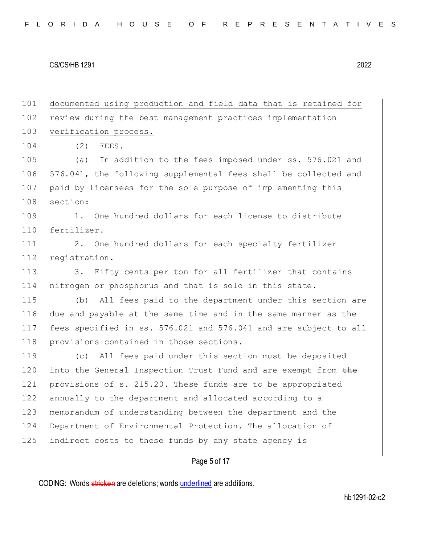| 101 | documented using production and field data that is retained for  |
|-----|------------------------------------------------------------------|
| 102 | review during the best management practices implementation       |
| 103 | verification process.                                            |
| 104 | (2)<br>$FEES. -$                                                 |
| 105 | In addition to the fees imposed under ss. 576.021 and<br>(a)     |
| 106 | 576.041, the following supplemental fees shall be collected and  |
| 107 | paid by licensees for the sole purpose of implementing this      |
| 108 | section:                                                         |
| 109 | One hundred dollars for each license to distribute<br>$1 \cdot$  |
| 110 | fertilizer.                                                      |
| 111 | 2.<br>One hundred dollars for each specialty fertilizer          |
| 112 | registration.                                                    |
| 113 | Fifty cents per ton for all fertilizer that contains<br>3.       |
| 114 | nitrogen or phosphorus and that is sold in this state.           |
| 115 | All fees paid to the department under this section are<br>(b)    |
| 116 | due and payable at the same time and in the same manner as the   |
| 117 | fees specified in ss. 576.021 and 576.041 and are subject to all |
| 118 | provisions contained in those sections.                          |
| 119 | All fees paid under this section must be deposited<br>(C)        |
| 120 | into the General Inspection Trust Fund and are exempt from the   |
| 121 | provisions of s. 215.20. These funds are to be appropriated      |
| 122 | annually to the department and allocated according to a          |
| 123 | memorandum of understanding between the department and the       |
| 124 | Department of Environmental Protection. The allocation of        |
| 125 | indirect costs to these funds by any state agency is             |
|     |                                                                  |

# Page 5 of 17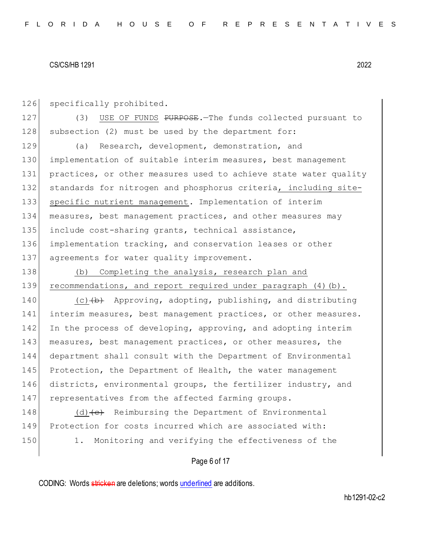126 specifically prohibited.

127 (3) USE OF FUNDS PURPOSE. The funds collected pursuant to 128 subsection (2) must be used by the department for:

 (a) Research, development, demonstration, and implementation of suitable interim measures, best management 131 practices, or other measures used to achieve state water quality 132 standards for nitrogen and phosphorus criteria, including site- specific nutrient management. Implementation of interim measures, best management practices, and other measures may include cost-sharing grants, technical assistance, implementation tracking, and conservation leases or other 137 agreements for water quality improvement.

138 (b) Completing the analysis, research plan and 139 recommendations, and report required under paragraph (4)(b).

140 (c) $(b)$  Approving, adopting, publishing, and distributing 141 interim measures, best management practices, or other measures. 142 In the process of developing, approving, and adopting interim 143 measures, best management practices, or other measures, the 144 department shall consult with the Department of Environmental 145 Protection, the Department of Health, the water management 146 districts, environmental groups, the fertilizer industry, and 147 representatives from the affected farming groups.

148 (d) $\left\{\left(e\right)\right\}$  Reimbursing the Department of Environmental 149 Protection for costs incurred which are associated with: 150 1. Monitoring and verifying the effectiveness of the

## Page 6 of 17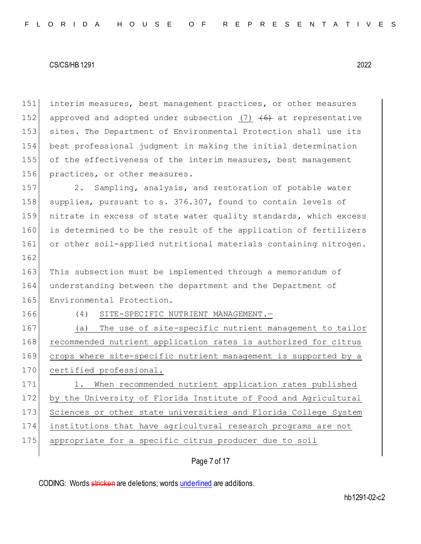interim measures, best management practices, or other measures 152 approved and adopted under subsection (7)  $\left(6\right)$  at representative sites. The Department of Environmental Protection shall use its best professional judgment in making the initial determination of the effectiveness of the interim measures, best management 156 practices, or other measures.

157 2. Sampling, analysis, and restoration of potable water 158 supplies, pursuant to s. 376.307, found to contain levels of 159 nitrate in excess of state water quality standards, which excess 160 is determined to be the result of the application of fertilizers 161 or other soil-applied nutritional materials containing nitrogen.

163 This subsection must be implemented through a memorandum of 164 understanding between the department and the Department of 165 Environmental Protection.

162

166 (4) SITE-SPECIFIC NUTRIENT MANAGEMENT.—

167 (a) The use of site-specific nutrient management to tailor 168 recommended nutrient application rates is authorized for citrus 169 crops where site-specific nutrient management is supported by a 170 certified professional.

171 1. When recommended nutrient application rates published 172 by the University of Florida Institute of Food and Agricultural 173 Sciences or other state universities and Florida College System 174 institutions that have agricultural research programs are not 175 appropriate for a specific citrus producer due to soil

# Page 7 of 17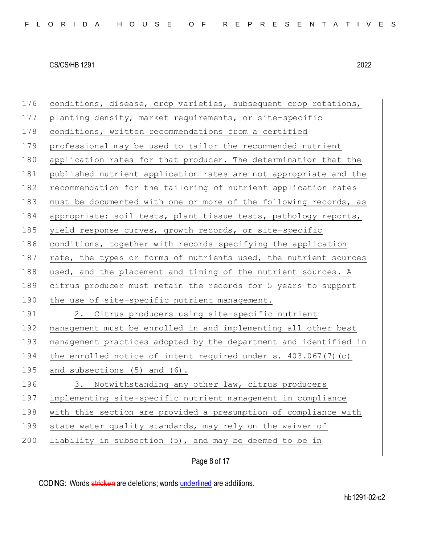| 176 | conditions, disease, crop varieties, subsequent crop rotations,  |
|-----|------------------------------------------------------------------|
| 177 | planting density, market requirements, or site-specific          |
| 178 | conditions, written recommendations from a certified             |
| 179 | professional may be used to tailor the recommended nutrient      |
| 180 | application rates for that producer. The determination that the  |
| 181 | published nutrient application rates are not appropriate and the |
| 182 | recommendation for the tailoring of nutrient application rates   |
| 183 | must be documented with one or more of the following records, as |
| 184 | appropriate: soil tests, plant tissue tests, pathology reports,  |
| 185 | yield response curves, growth records, or site-specific          |
| 186 | conditions, together with records specifying the application     |
| 187 | rate, the types or forms of nutrients used, the nutrient sources |
| 188 | used, and the placement and timing of the nutrient sources. A    |
| 189 | citrus producer must retain the records for 5 years to support   |
| 190 | the use of site-specific nutrient management.                    |
| 191 | 2. Citrus producers using site-specific nutrient                 |
| 192 | management must be enrolled in and implementing all other best   |
| 193 | management practices adopted by the department and identified in |
| 194 | the enrolled notice of intent required under s. 403.067(7) (c)   |
| 195 | and subsections (5) and (6).                                     |
| 196 | 3. Notwithstanding any other law, citrus producers               |
| 197 | implementing site-specific nutrient management in compliance     |
| 198 | with this section are provided a presumption of compliance with  |
| 199 | state water quality standards, may rely on the waiver of         |
| 200 | liability in subsection (5), and may be deemed to be in          |
|     |                                                                  |

Page 8 of 17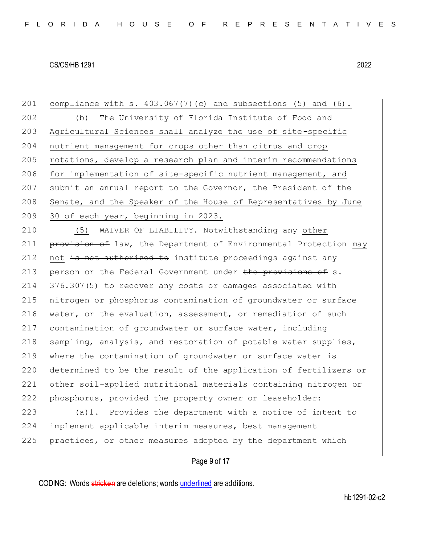201 compliance with s.  $403.067(7)(c)$  and subsections (5) and (6). 202 (b) The University of Florida Institute of Food and 203 Agricultural Sciences shall analyze the use of site-specific 204 nutrient management for crops other than citrus and crop 205 rotations, develop a research plan and interim recommendations 206 for implementation of site-specific nutrient management, and 207 submit an annual report to the Governor, the President of the 208 Senate, and the Speaker of the House of Representatives by June 209 30 of each year, beginning in 2023.

 (5) WAIVER OF LIABILITY.—Notwithstanding any other **provision of** law, the Department of Environmental Protection may not is not authorized to institute proceedings against any 213 person or the Federal Government under the provisions of s. 376.307(5) to recover any costs or damages associated with nitrogen or phosphorus contamination of groundwater or surface 216 water, or the evaluation, assessment, or remediation of such contamination of groundwater or surface water, including 218 sampling, analysis, and restoration of potable water supplies, where the contamination of groundwater or surface water is 220 determined to be the result of the application of fertilizers or other soil-applied nutritional materials containing nitrogen or phosphorus, provided the property owner or leaseholder:

223 (a)1. Provides the department with a notice of intent to 224 implement applicable interim measures, best management 225 practices, or other measures adopted by the department which

# Page 9 of 17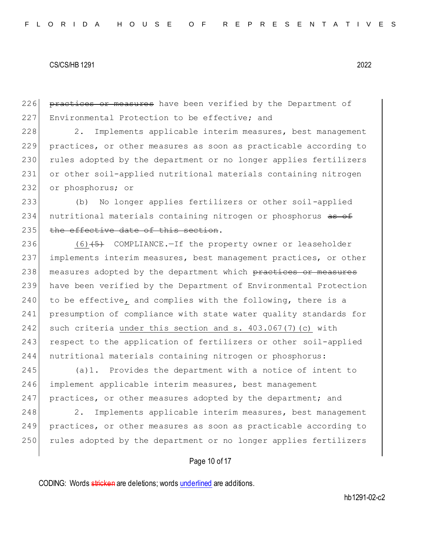226 practices or measures have been verified by the Department of 227 Environmental Protection to be effective; and

228 2. Implements applicable interim measures, best management 229 practices, or other measures as soon as practicable according to 230 rules adopted by the department or no longer applies fertilizers 231 or other soil-applied nutritional materials containing nitrogen 232 or phosphorus; or

233 (b) No longer applies fertilizers or other soil-applied 234 nutritional materials containing nitrogen or phosphorus as of 235 the effective date of this section.

236  $(6)$  (6) (5) COMPLIANCE. - If the property owner or leaseholder 237 implements interim measures, best management practices, or other 238 measures adopted by the department which practices or measures 239 have been verified by the Department of Environmental Protection 240 to be effective, and complies with the following, there is a 241 presumption of compliance with state water quality standards for 242 such criteria under this section and s. 403.067(7)(c) with 243 respect to the application of fertilizers or other soil-applied 244 nutritional materials containing nitrogen or phosphorus:

245 (a)1. Provides the department with a notice of intent to 246 implement applicable interim measures, best management 247 practices, or other measures adopted by the department; and

248 2. Implements applicable interim measures, best management 249 practices, or other measures as soon as practicable according to 250 rules adopted by the department or no longer applies fertilizers

# Page 10 of 17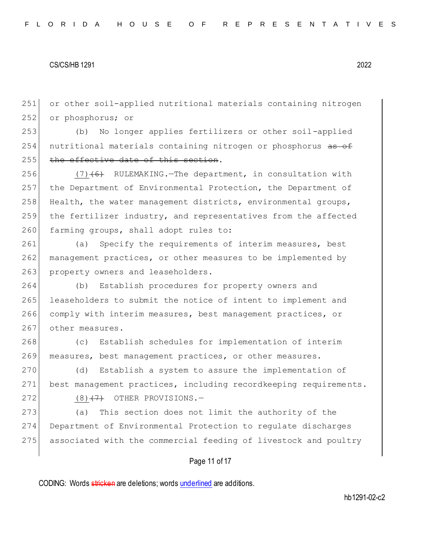251 or other soil-applied nutritional materials containing nitrogen 252 or phosphorus; or

253 (b) No longer applies fertilizers or other soil-applied 254 nutritional materials containing nitrogen or phosphorus as of 255 the effective date of this section.

 $(7)$  (6) RULEMAKING. The department, in consultation with the Department of Environmental Protection, the Department of Health, the water management districts, environmental groups, the fertilizer industry, and representatives from the affected 260 farming groups, shall adopt rules to:

261 (a) Specify the requirements of interim measures, best 262 management practices, or other measures to be implemented by 263 property owners and leaseholders.

 (b) Establish procedures for property owners and leaseholders to submit the notice of intent to implement and comply with interim measures, best management practices, or 267 other measures.

268 (c) Establish schedules for implementation of interim 269 measures, best management practices, or other measures.

270 (d) Establish a system to assure the implementation of 271 best management practices, including recordkeeping requirements.  $272$  (8)<del>(7)</del> OTHER PROVISIONS.

273 (a) This section does not limit the authority of the 274 Department of Environmental Protection to regulate discharges 275 associated with the commercial feeding of livestock and poultry

# Page 11 of 17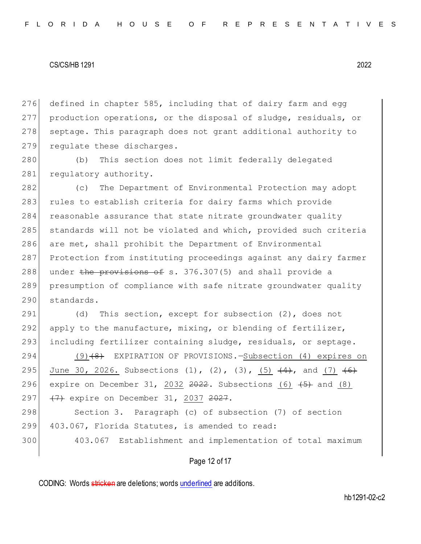276 defined in chapter 585, including that of dairy farm and egg 277 production operations, or the disposal of sludge, residuals, or 278 septage. This paragraph does not grant additional authority to 279 regulate these discharges.

280 (b) This section does not limit federally delegated 281 regulatory authority.

 (c) The Department of Environmental Protection may adopt 283 rules to establish criteria for dairy farms which provide 284 reasonable assurance that state nitrate groundwater quality standards will not be violated and which, provided such criteria are met, shall prohibit the Department of Environmental Protection from instituting proceedings against any dairy farmer 288 under the provisions of s. 376.307(5) and shall provide a presumption of compliance with safe nitrate groundwater quality standards.

291 (d) This section, except for subsection (2), does not 292 apply to the manufacture, mixing, or blending of fertilizer, 293 including fertilizer containing sludge, residuals, or septage.

294 (9)<del>(8)</del> EXPIRATION OF PROVISIONS.—Subsection (4) expires on 295 June 30, 2026. Subsections (1), (2), (3),  $(5)$   $(4)$ , and (7)  $(6)$ 296 expire on December 31,  $2032$   $2022$ . Subsections  $(6)$   $(5)$  and  $(8)$ 297 (7) expire on December 31, 2037 2027.

298 Section 3. Paragraph (c) of subsection (7) of section 299 403.067, Florida Statutes, is amended to read:

300 403.067 Establishment and implementation of total maximum

Page 12 of 17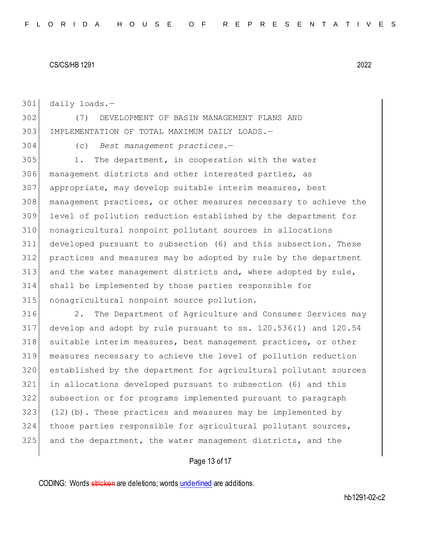daily loads.—

 (7) DEVELOPMENT OF BASIN MANAGEMENT PLANS AND IMPLEMENTATION OF TOTAL MAXIMUM DAILY LOADS.—

(c) *Best management practices.*—

 1. The department, in cooperation with the water management districts and other interested parties, as 307 appropriate, may develop suitable interim measures, best management practices, or other measures necessary to achieve the level of pollution reduction established by the department for nonagricultural nonpoint pollutant sources in allocations developed pursuant to subsection (6) and this subsection. These practices and measures may be adopted by rule by the department and the water management districts and, where adopted by rule, shall be implemented by those parties responsible for 315 nonagricultural nonpoint source pollution.

316 2. The Department of Agriculture and Consumer Services may develop and adopt by rule pursuant to ss. 120.536(1) and 120.54 suitable interim measures, best management practices, or other measures necessary to achieve the level of pollution reduction established by the department for agricultural pollutant sources in allocations developed pursuant to subsection (6) and this subsection or for programs implemented pursuant to paragraph (12)(b). These practices and measures may be implemented by those parties responsible for agricultural pollutant sources, and the department, the water management districts, and the

# Page 13 of 17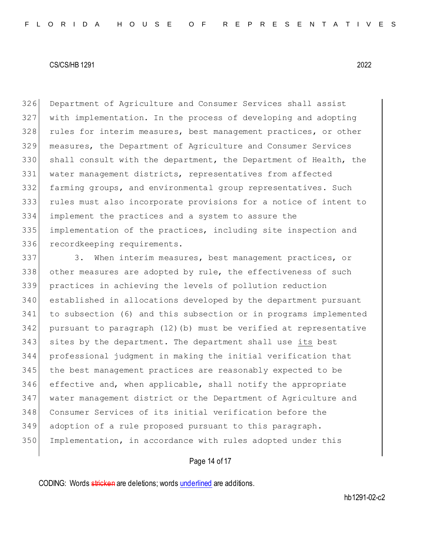Department of Agriculture and Consumer Services shall assist with implementation. In the process of developing and adopting 328 rules for interim measures, best management practices, or other measures, the Department of Agriculture and Consumer Services shall consult with the department, the Department of Health, the 331 water management districts, representatives from affected farming groups, and environmental group representatives. Such rules must also incorporate provisions for a notice of intent to implement the practices and a system to assure the implementation of the practices, including site inspection and 336 recordkeeping requirements.

337 3. When interim measures, best management practices, or 338 other measures are adopted by rule, the effectiveness of such practices in achieving the levels of pollution reduction established in allocations developed by the department pursuant to subsection (6) and this subsection or in programs implemented pursuant to paragraph (12)(b) must be verified at representative sites by the department. The department shall use its best professional judgment in making the initial verification that the best management practices are reasonably expected to be effective and, when applicable, shall notify the appropriate water management district or the Department of Agriculture and Consumer Services of its initial verification before the adoption of a rule proposed pursuant to this paragraph. 350 Implementation, in accordance with rules adopted under this

# Page 14 of 17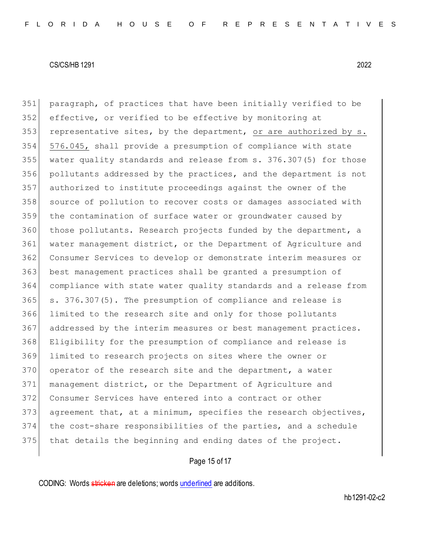paragraph, of practices that have been initially verified to be effective, or verified to be effective by monitoring at 353 representative sites, by the department, or are authorized by  $s$ . 576.045, shall provide a presumption of compliance with state water quality standards and release from s. 376.307(5) for those pollutants addressed by the practices, and the department is not authorized to institute proceedings against the owner of the source of pollution to recover costs or damages associated with 359 the contamination of surface water or groundwater caused by those pollutants. Research projects funded by the department, a water management district, or the Department of Agriculture and Consumer Services to develop or demonstrate interim measures or best management practices shall be granted a presumption of compliance with state water quality standards and a release from s. 376.307(5). The presumption of compliance and release is limited to the research site and only for those pollutants 367 addressed by the interim measures or best management practices. Eligibility for the presumption of compliance and release is limited to research projects on sites where the owner or 370 operator of the research site and the department, a water management district, or the Department of Agriculture and Consumer Services have entered into a contract or other 373 agreement that, at a minimum, specifies the research objectives, the cost-share responsibilities of the parties, and a schedule 375 that details the beginning and ending dates of the project.

# Page 15 of 17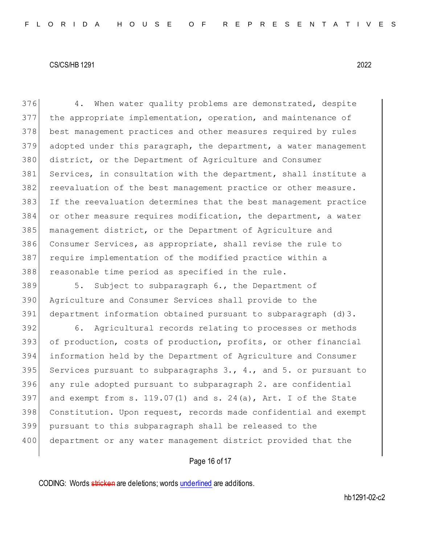376 4. When water quality problems are demonstrated, despite the appropriate implementation, operation, and maintenance of best management practices and other measures required by rules adopted under this paragraph, the department, a water management district, or the Department of Agriculture and Consumer Services, in consultation with the department, shall institute a reevaluation of the best management practice or other measure. If the reevaluation determines that the best management practice or other measure requires modification, the department, a water management district, or the Department of Agriculture and Consumer Services, as appropriate, shall revise the rule to require implementation of the modified practice within a reasonable time period as specified in the rule.

 5. Subject to subparagraph 6., the Department of Agriculture and Consumer Services shall provide to the department information obtained pursuant to subparagraph (d)3.

 6. Agricultural records relating to processes or methods of production, costs of production, profits, or other financial information held by the Department of Agriculture and Consumer 395 Services pursuant to subparagraphs  $3.7, 4.7$  and  $5.$  or pursuant to any rule adopted pursuant to subparagraph 2. are confidential 397 and exempt from s.  $119.07(1)$  and s.  $24(a)$ , Art. I of the State Constitution. Upon request, records made confidential and exempt pursuant to this subparagraph shall be released to the 400 department or any water management district provided that the

# Page 16 of 17